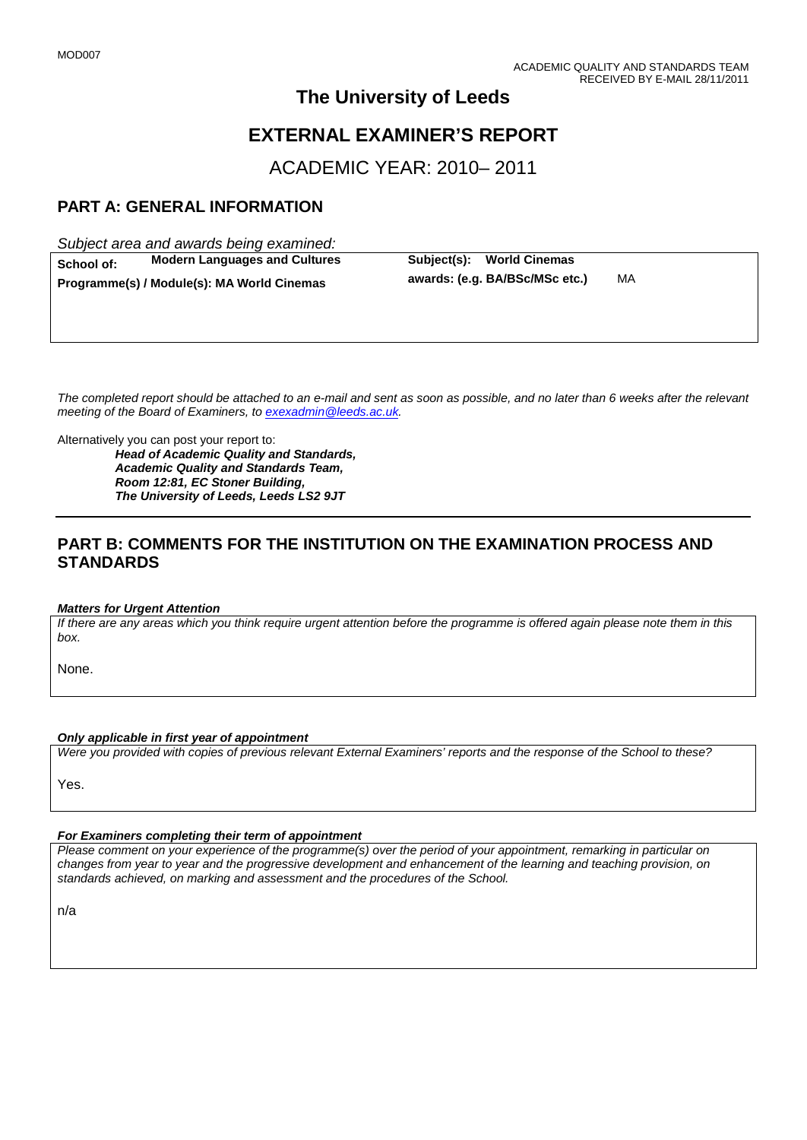## **The University of Leeds**

# **EXTERNAL EXAMINER'S REPORT**

ACADEMIC YEAR: 2010– 2011

## **PART A: GENERAL INFORMATION**

*Subject area and awards being examined:*

**School of: Modern Languages and Cultures Subject(s): World Cinemas**<br>**Programme(s)/Module(s): MA World Cinemas awards: (e.g. BA/BSc/MSc etc.)** 

**Programme(s) / Module(s): MA World Cinemas awards: (e.g. BA/BSc/MSc etc.)** MA

*The completed report should be attached to an e-mail and sent as soon as possible, and no later than 6 weeks after the relevant meeting of the Board of Examiners, to [exexadmin@leeds.ac.uk.](mailto:exexadmin@leeds.ac.uk)*

Alternatively you can post your report to:

*Head of Academic Quality and Standards, Academic Quality and Standards Team, Room 12:81, EC Stoner Building, The University of Leeds, Leeds LS2 9JT*

### **PART B: COMMENTS FOR THE INSTITUTION ON THE EXAMINATION PROCESS AND STANDARDS**

#### *Matters for Urgent Attention*

*If there are any areas which you think require urgent attention before the programme is offered again please note them in this box.*

None.

#### *Only applicable in first year of appointment*

*Were you provided with copies of previous relevant External Examiners' reports and the response of the School to these?* 

Yes.

#### *For Examiners completing their term of appointment*

*Please comment on your experience of the programme(s) over the period of your appointment, remarking in particular on changes from year to year and the progressive development and enhancement of the learning and teaching provision, on standards achieved, on marking and assessment and the procedures of the School.* 

n/a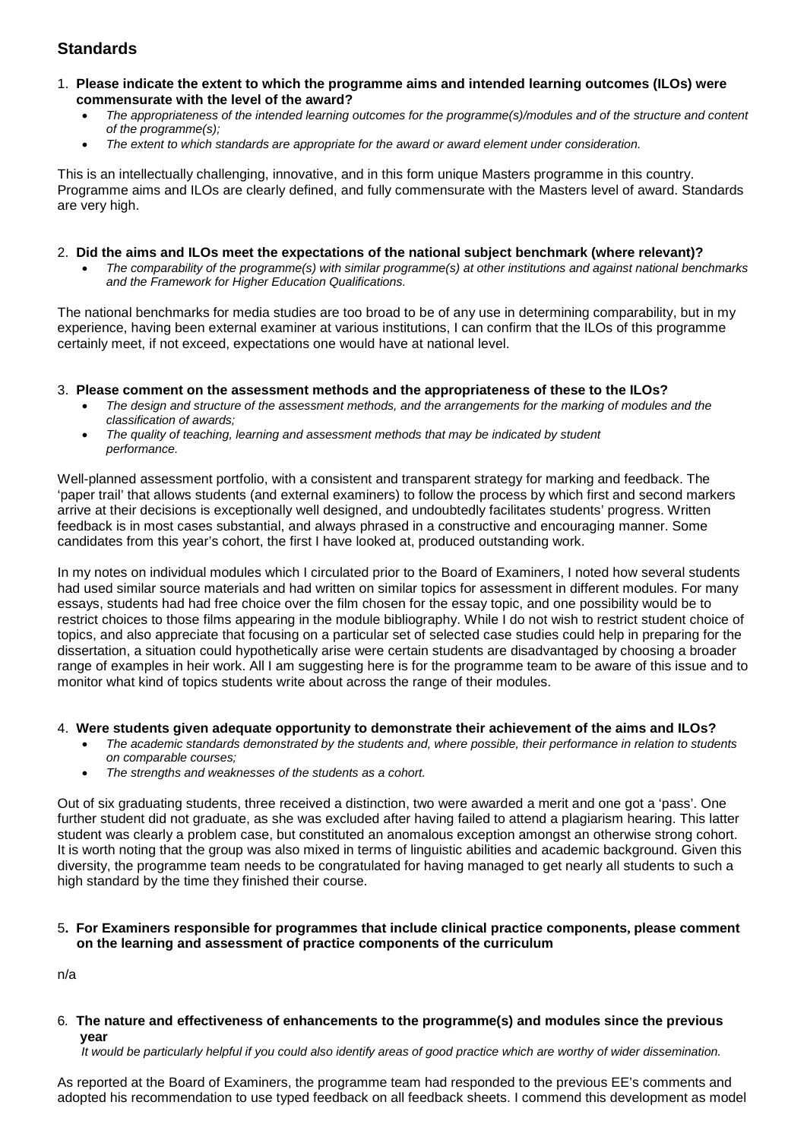## **Standards**

- 1. **Please indicate the extent to which the programme aims and intended learning outcomes (ILOs) were commensurate with the level of the award?**
	- *The appropriateness of the intended learning outcomes for the programme(s)/modules and of the structure and content of the programme(s);*
	- *The extent to which standards are appropriate for the award or award element under consideration.*

This is an intellectually challenging, innovative, and in this form unique Masters programme in this country. Programme aims and ILOs are clearly defined, and fully commensurate with the Masters level of award. Standards are very high.

#### 2. **Did the aims and ILOs meet the expectations of the national subject benchmark (where relevant)?**

• *The comparability of the programme(s) with similar programme(s) at other institutions and against national benchmarks and the Framework for Higher Education Qualifications.*

The national benchmarks for media studies are too broad to be of any use in determining comparability, but in my experience, having been external examiner at various institutions, I can confirm that the ILOs of this programme certainly meet, if not exceed, expectations one would have at national level.

#### 3. **Please comment on the assessment methods and the appropriateness of these to the ILOs?**

- *The design and structure of the assessment methods, and the arrangements for the marking of modules and the classification of awards;*
- *The quality of teaching, learning and assessment methods that may be indicated by student performance.*

Well-planned assessment portfolio, with a consistent and transparent strategy for marking and feedback. The 'paper trail' that allows students (and external examiners) to follow the process by which first and second markers arrive at their decisions is exceptionally well designed, and undoubtedly facilitates students' progress. Written feedback is in most cases substantial, and always phrased in a constructive and encouraging manner. Some candidates from this year's cohort, the first I have looked at, produced outstanding work.

In my notes on individual modules which I circulated prior to the Board of Examiners, I noted how several students had used similar source materials and had written on similar topics for assessment in different modules. For many essays, students had had free choice over the film chosen for the essay topic, and one possibility would be to restrict choices to those films appearing in the module bibliography. While I do not wish to restrict student choice of topics, and also appreciate that focusing on a particular set of selected case studies could help in preparing for the dissertation, a situation could hypothetically arise were certain students are disadvantaged by choosing a broader range of examples in heir work. All I am suggesting here is for the programme team to be aware of this issue and to monitor what kind of topics students write about across the range of their modules.

#### 4. **Were students given adequate opportunity to demonstrate their achievement of the aims and ILOs?**

- *The academic standards demonstrated by the students and, where possible, their performance in relation to students on comparable courses;*
- *The strengths and weaknesses of the students as a cohort.*

Out of six graduating students, three received a distinction, two were awarded a merit and one got a 'pass'. One further student did not graduate, as she was excluded after having failed to attend a plagiarism hearing. This latter student was clearly a problem case, but constituted an anomalous exception amongst an otherwise strong cohort. It is worth noting that the group was also mixed in terms of linguistic abilities and academic background. Given this diversity, the programme team needs to be congratulated for having managed to get nearly all students to such a high standard by the time they finished their course.

#### 5**. For Examiners responsible for programmes that include clinical practice components, please comment on the learning and assessment of practice components of the curriculum**

n/a

6*.* **The nature and effectiveness of enhancements to the programme(s) and modules since the previous year**

 *It would be particularly helpful if you could also identify areas of good practice which are worthy of wider dissemination.* 

As reported at the Board of Examiners, the programme team had responded to the previous EE's comments and adopted his recommendation to use typed feedback on all feedback sheets. I commend this development as model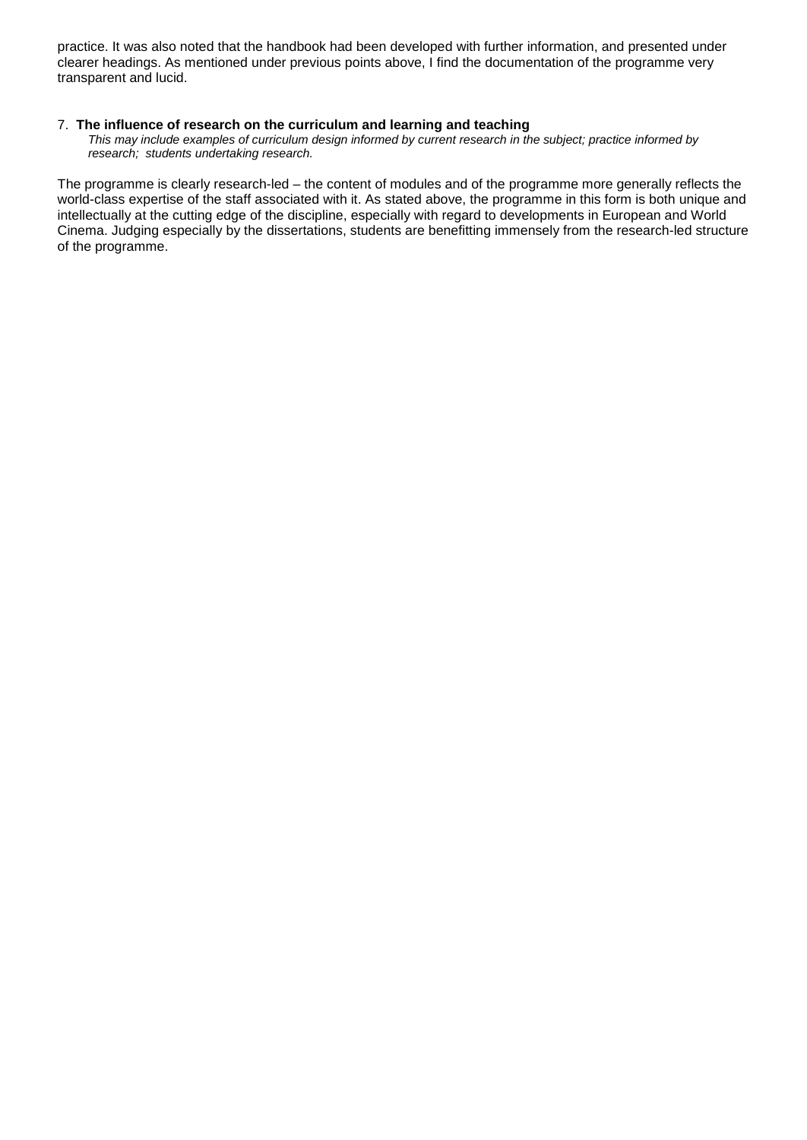practice. It was also noted that the handbook had been developed with further information, and presented under clearer headings. As mentioned under previous points above, I find the documentation of the programme very transparent and lucid.

#### 7.**The influence of research on the curriculum and learning and teaching**

 *This may include examples of curriculum design informed by current research in the subject; practice informed by research; students undertaking research.* 

The programme is clearly research-led – the content of modules and of the programme more generally reflects the world-class expertise of the staff associated with it. As stated above, the programme in this form is both unique and intellectually at the cutting edge of the discipline, especially with regard to developments in European and World Cinema. Judging especially by the dissertations, students are benefitting immensely from the research-led structure of the programme.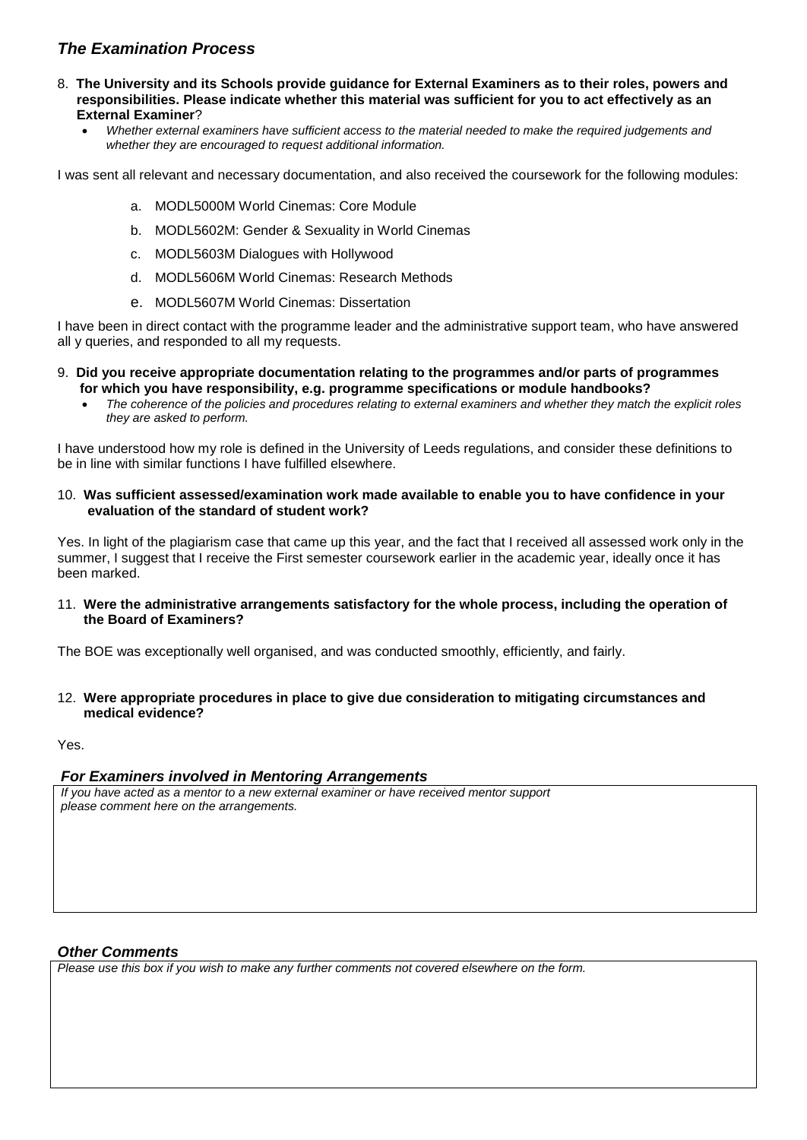### *The Examination Process*

- 8. **The University and its Schools provide guidance for External Examiners as to their roles, powers and responsibilities. Please indicate whether this material was sufficient for you to act effectively as an External Examiner**?
	- *Whether external examiners have sufficient access to the material needed to make the required judgements and whether they are encouraged to request additional information.*

I was sent all relevant and necessary documentation, and also received the coursework for the following modules:

- a. MODL5000M World Cinemas: Core Module
- b. MODL5602M: Gender & Sexuality in World Cinemas
- c. MODL5603M Dialogues with Hollywood
- d. MODL5606M World Cinemas: Research Methods
- e. MODL5607M World Cinemas: Dissertation

I have been in direct contact with the programme leader and the administrative support team, who have answered all y queries, and responded to all my requests.

- 9. **Did you receive appropriate documentation relating to the programmes and/or parts of programmes for which you have responsibility, e.g. programme specifications or module handbooks?**
	- *The coherence of the policies and procedures relating to external examiners and whether they match the explicit roles they are asked to perform.*

I have understood how my role is defined in the University of Leeds regulations, and consider these definitions to be in line with similar functions I have fulfilled elsewhere.

10. **Was sufficient assessed/examination work made available to enable you to have confidence in your evaluation of the standard of student work?**

Yes. In light of the plagiarism case that came up this year, and the fact that I received all assessed work only in the summer, I suggest that I receive the First semester coursework earlier in the academic year, ideally once it has been marked.

11. **Were the administrative arrangements satisfactory for the whole process, including the operation of the Board of Examiners?**

The BOE was exceptionally well organised, and was conducted smoothly, efficiently, and fairly.

12. **Were appropriate procedures in place to give due consideration to mitigating circumstances and medical evidence?**

#### Yes.

### *For Examiners involved in Mentoring Arrangements*

*If you have acted as a mentor to a new external examiner or have received mentor support please comment here on the arrangements.*

#### *Other Comments*

*Please use this box if you wish to make any further comments not covered elsewhere on the form.*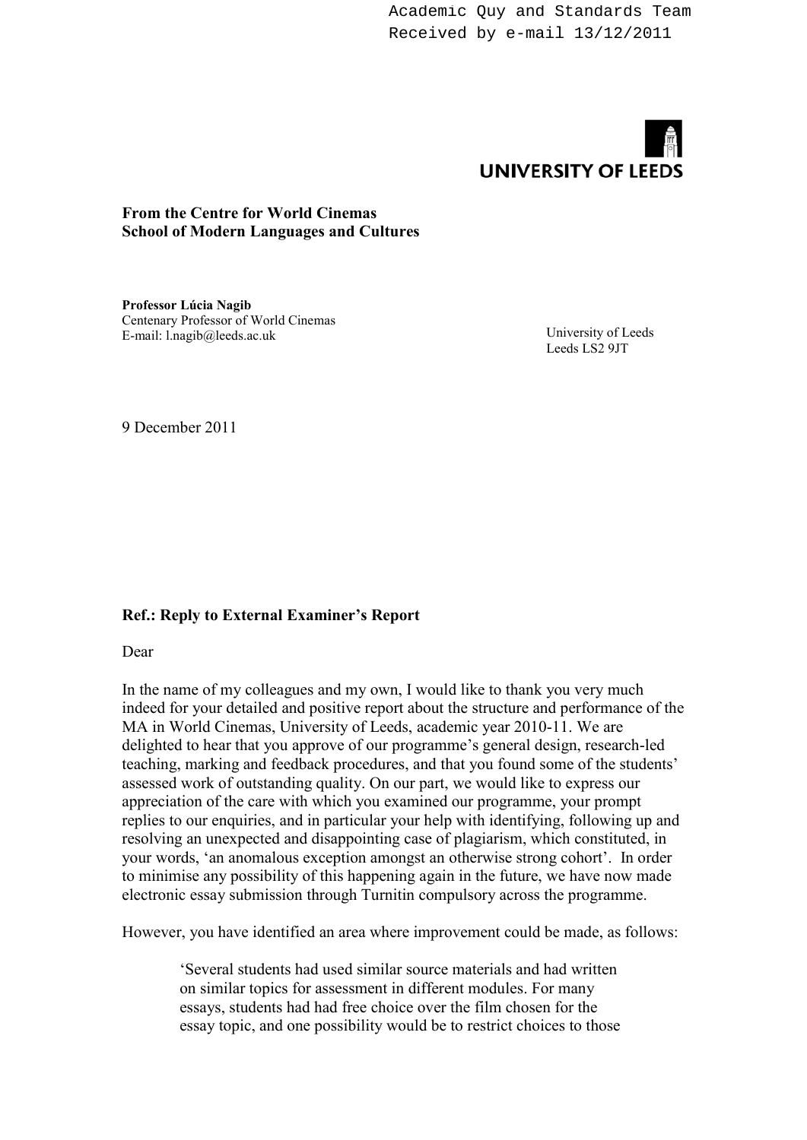Academic Quy and Standards Team Received by e-mail 13/12/2011



### **From the Centre for World Cinemas School of Modern Languages and Cultures**

**Professor Lúcia Nagib**  Centenary Professor of World Cinemas E-mail: l.nagib@leeds.ac.uk

University of Leeds Leeds LS2 9JT

9 December 2011

### **Ref.: Reply to External Examiner's Report**

Dear

In the name of my colleagues and my own, I would like to thank you very much indeed for your detailed and positive report about the structure and performance of the MA in World Cinemas, University of Leeds, academic year 2010-11. We are delighted to hear that you approve of our programme's general design, research-led teaching, marking and feedback procedures, and that you found some of the students' assessed work of outstanding quality. On our part, we would like to express our appreciation of the care with which you examined our programme, your prompt replies to our enquiries, and in particular your help with identifying, following up and resolving an unexpected and disappointing case of plagiarism, which constituted, in your words, 'an anomalous exception amongst an otherwise strong cohort'. In order to minimise any possibility of this happening again in the future, we have now made electronic essay submission through Turnitin compulsory across the programme.

However, you have identified an area where improvement could be made, as follows:

'Several students had used similar source materials and had written on similar topics for assessment in different modules. For many essays, students had had free choice over the film chosen for the essay topic, and one possibility would be to restrict choices to those